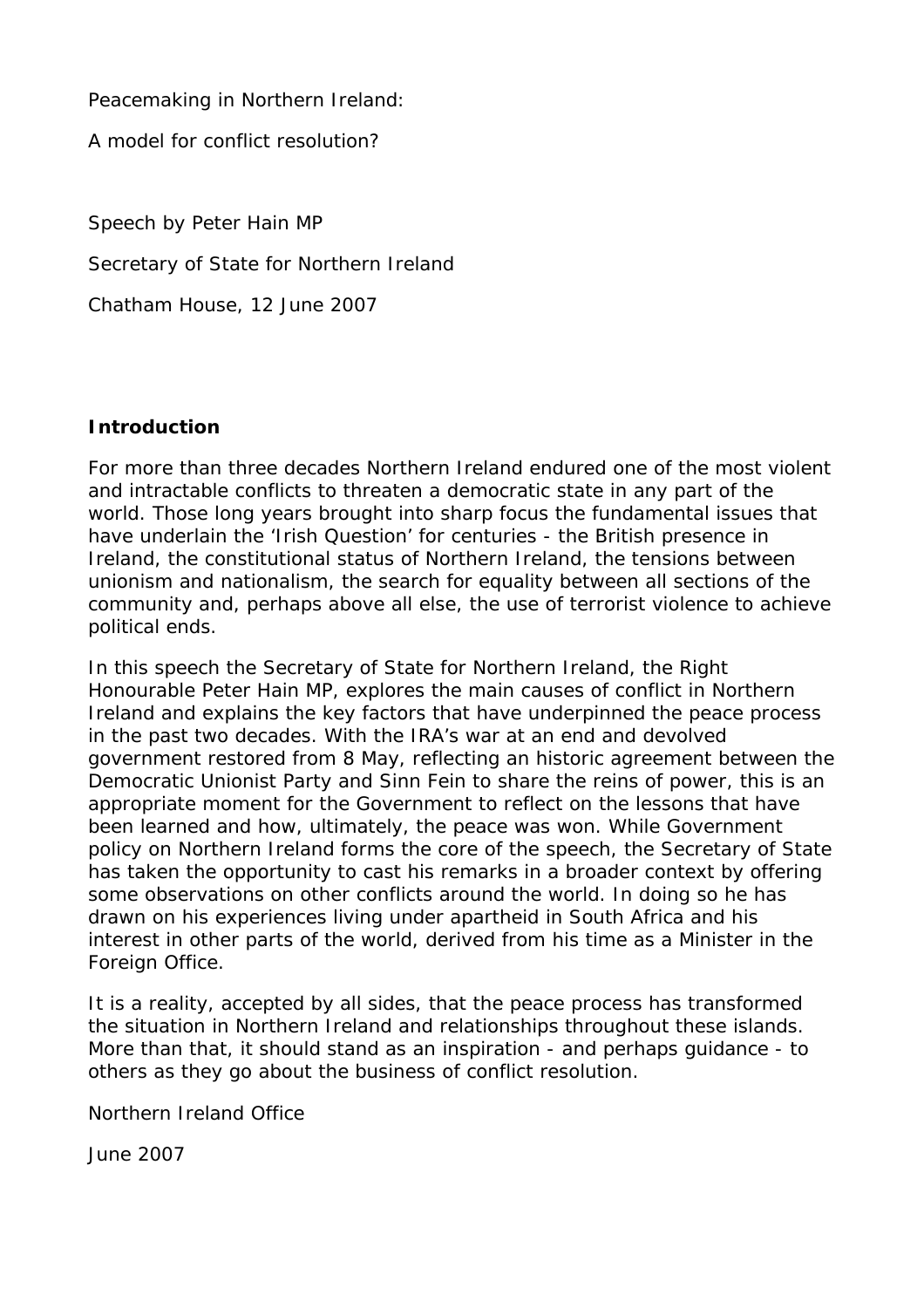Peacemaking in Northern Ireland:

A model for conflict resolution?

Speech by Peter Hain MP Secretary of State for Northern Ireland Chatham House, 12 June 2007

# **Introduction**

For more than three decades Northern Ireland endured one of the most violent and intractable conflicts to threaten a democratic state in any part of the world. Those long years brought into sharp focus the fundamental issues that have underlain the 'Irish Question' for centuries - the British presence in Ireland, the constitutional status of Northern Ireland, the tensions between unionism and nationalism, the search for equality between all sections of the community and, perhaps above all else, the use of terrorist violence to achieve political ends.

In this speech the Secretary of State for Northern Ireland, the Right Honourable Peter Hain MP, explores the main causes of conflict in Northern Ireland and explains the key factors that have underpinned the peace process in the past two decades. With the IRA's war at an end and devolved government restored from 8 May, reflecting an historic agreement between the Democratic Unionist Party and Sinn Fein to share the reins of power, this is an appropriate moment for the Government to reflect on the lessons that have been learned and how, ultimately, the peace was won. While Government policy on Northern Ireland forms the core of the speech, the Secretary of State has taken the opportunity to cast his remarks in a broader context by offering some observations on other conflicts around the world. In doing so he has drawn on his experiences living under apartheid in South Africa and his interest in other parts of the world, derived from his time as a Minister in the Foreign Office.

It is a reality, accepted by all sides, that the peace process has transformed the situation in Northern Ireland and relationships throughout these islands. More than that, it should stand as an inspiration - and perhaps guidance - to others as they go about the business of conflict resolution.

Northern Ireland Office

June 2007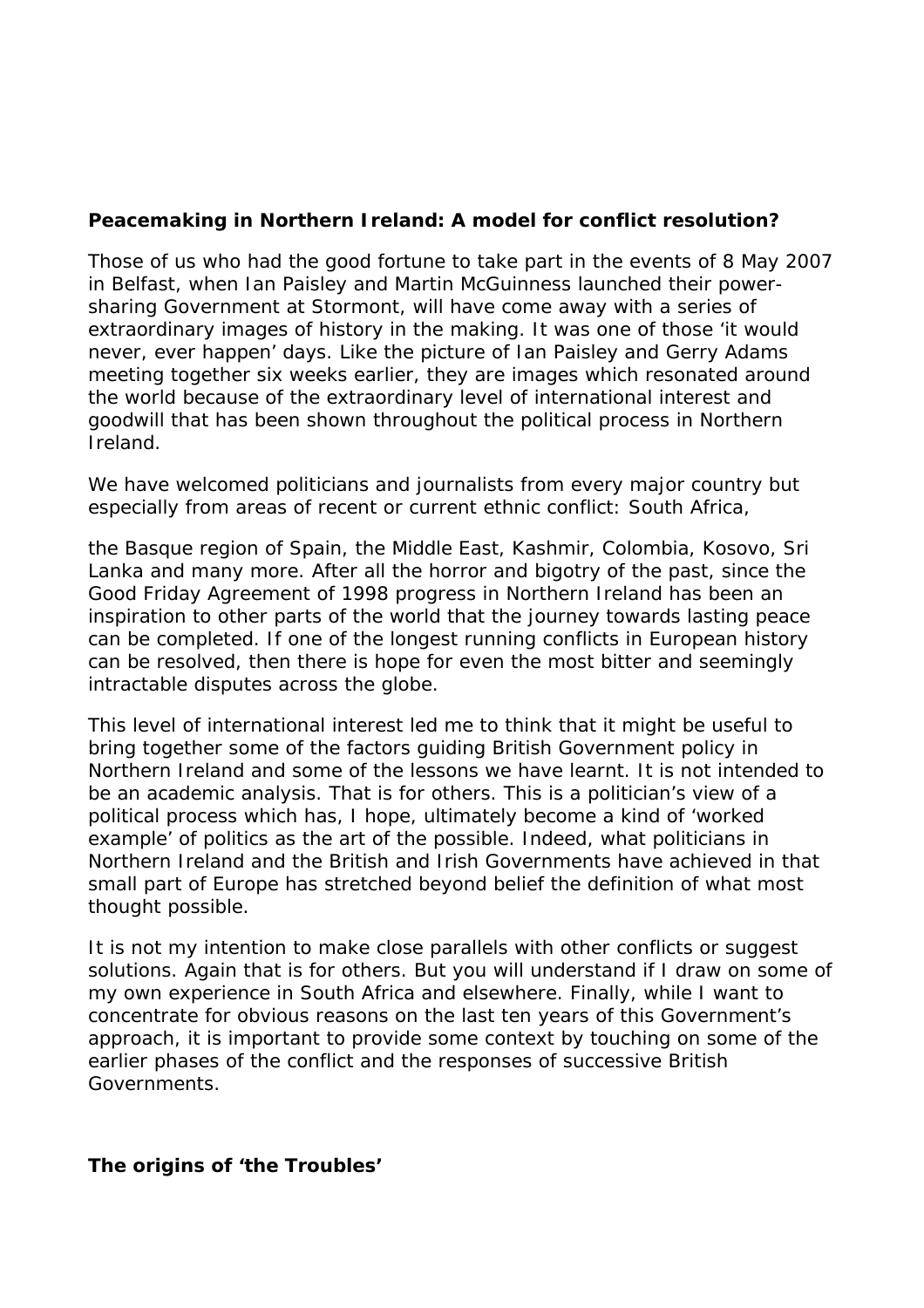#### **Peacemaking in Northern Ireland: A model for conflict resolution?**

Those of us who had the good fortune to take part in the events of 8 May 2007 in Belfast, when Ian Paisley and Martin McGuinness launched their powersharing Government at Stormont, will have come away with a series of extraordinary images of history in the making. It was one of those 'it would never, ever happen' days. Like the picture of Ian Paisley and Gerry Adams meeting together six weeks earlier, they are images which resonated around the world because of the extraordinary level of international interest and goodwill that has been shown throughout the political process in Northern Ireland.

We have welcomed politicians and journalists from every major country but especially from areas of recent or current ethnic conflict: South Africa,

the Basque region of Spain, the Middle East, Kashmir, Colombia, Kosovo, Sri Lanka and many more. After all the horror and bigotry of the past, since the Good Friday Agreement of 1998 progress in Northern Ireland has been an inspiration to other parts of the world that the journey towards lasting peace can be completed. If one of the longest running conflicts in European history can be resolved, then there is hope for even the most bitter and seemingly intractable disputes across the globe.

This level of international interest led me to think that it might be useful to bring together some of the factors guiding British Government policy in Northern Ireland and some of the lessons we have learnt. It is not intended to be an academic analysis. That is for others. This is a politician's view of a political process which has, I hope, ultimately become a kind of 'worked example' of politics as the art of the possible. Indeed, what politicians in Northern Ireland and the British and Irish Governments have achieved in that small part of Europe has stretched beyond belief the definition of what most thought possible.

It is not my intention to make close parallels with other conflicts or suggest solutions. Again that is for others. But you will understand if I draw on some of my own experience in South Africa and elsewhere. Finally, while I want to concentrate for obvious reasons on the last ten years of this Government's approach, it is important to provide some context by touching on some of the earlier phases of the conflict and the responses of successive British Governments.

# **The origins of 'the Troubles'**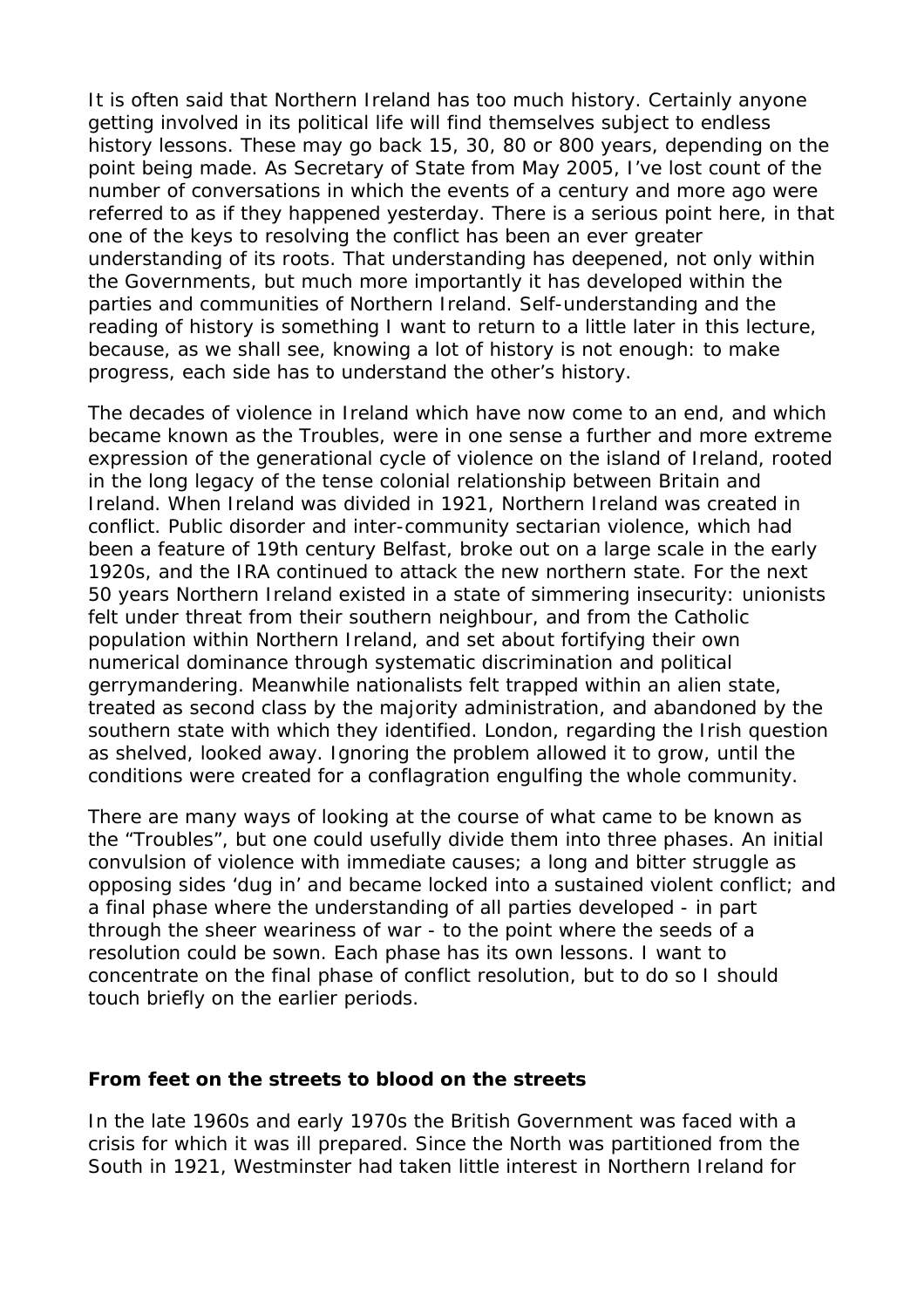It is often said that Northern Ireland has too much history. Certainly anyone getting involved in its political life will find themselves subject to endless history lessons. These may go back 15, 30, 80 or 800 years, depending on the point being made. As Secretary of State from May 2005, I've lost count of the number of conversations in which the events of a century and more ago were referred to as if they happened yesterday. There is a serious point here, in that one of the keys to resolving the conflict has been an ever greater understanding of its roots. That understanding has deepened, not only within the Governments, but much more importantly it has developed within the parties and communities of Northern Ireland. Self-understanding and the reading of history is something I want to return to a little later in this lecture, because, as we shall see, knowing a lot of history is not enough: to make progress, each side has to understand the other's history.

The decades of violence in Ireland which have now come to an end, and which became known as the Troubles, were in one sense a further and more extreme expression of the generational cycle of violence on the island of Ireland, rooted in the long legacy of the tense colonial relationship between Britain and Ireland. When Ireland was divided in 1921, Northern Ireland was created in conflict. Public disorder and inter-community sectarian violence, which had been a feature of 19th century Belfast, broke out on a large scale in the early 1920s, and the IRA continued to attack the new northern state. For the next 50 years Northern Ireland existed in a state of simmering insecurity: unionists felt under threat from their southern neighbour, and from the Catholic population within Northern Ireland, and set about fortifying their own numerical dominance through systematic discrimination and political gerrymandering. Meanwhile nationalists felt trapped within an alien state, treated as second class by the majority administration, and abandoned by the southern state with which they identified. London, regarding the Irish question as shelved, looked away. Ignoring the problem allowed it to grow, until the conditions were created for a conflagration engulfing the whole community.

There are many ways of looking at the course of what came to be known as the "Troubles", but one could usefully divide them into three phases. An initial convulsion of violence with immediate causes; a long and bitter struggle as opposing sides 'dug in' and became locked into a sustained violent conflict; and a final phase where the understanding of all parties developed - in part through the sheer weariness of war - to the point where the seeds of a resolution could be sown. Each phase has its own lessons. I want to concentrate on the final phase of conflict resolution, but to do so I should touch briefly on the earlier periods.

#### **From feet on the streets to blood on the streets**

In the late 1960s and early 1970s the British Government was faced with a crisis for which it was ill prepared. Since the North was partitioned from the South in 1921, Westminster had taken little interest in Northern Ireland for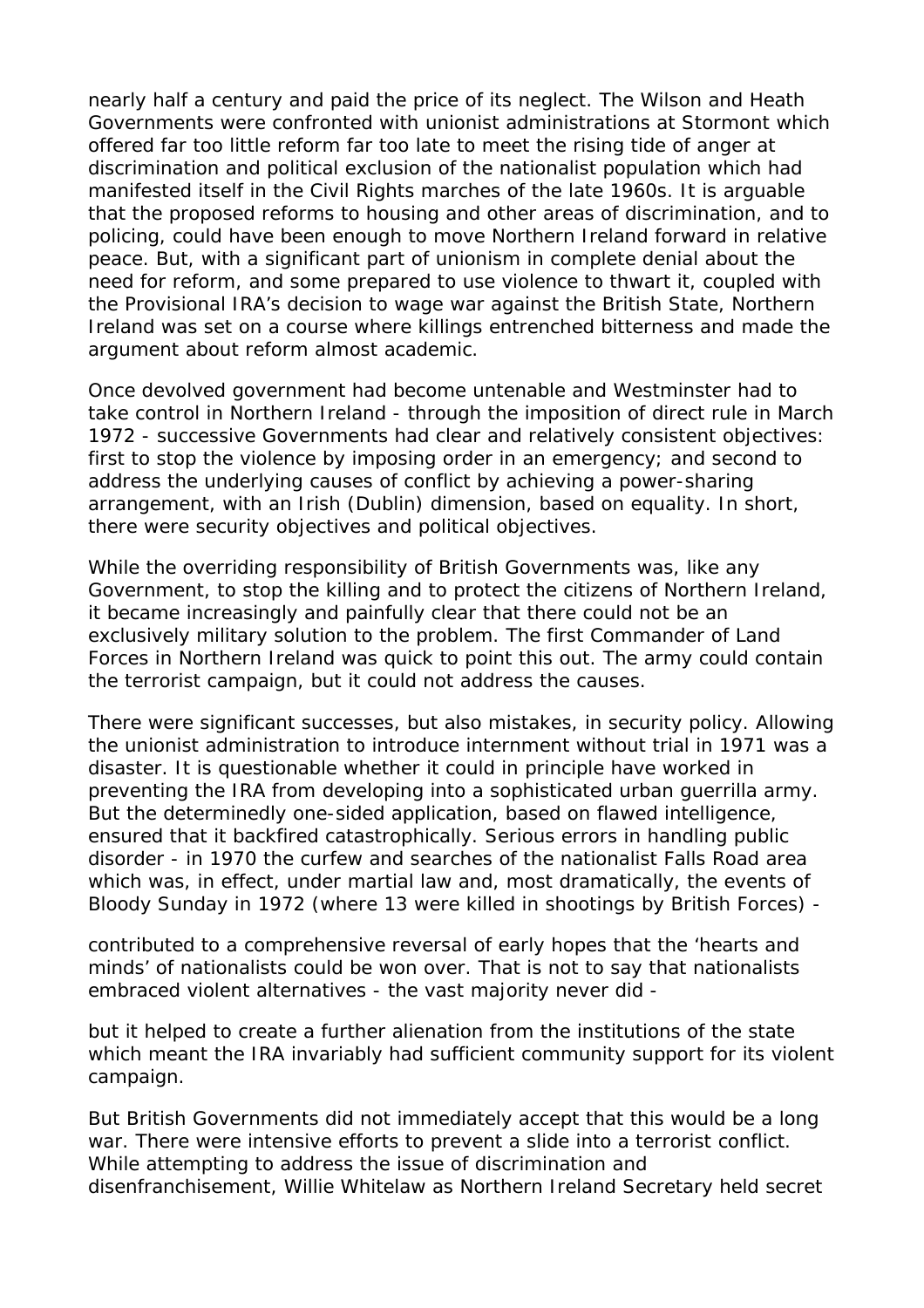nearly half a century and paid the price of its neglect. The Wilson and Heath Governments were confronted with unionist administrations at Stormont which offered far too little reform far too late to meet the rising tide of anger at discrimination and political exclusion of the nationalist population which had manifested itself in the Civil Rights marches of the late 1960s. It is arguable that the proposed reforms to housing and other areas of discrimination, and to policing, could have been enough to move Northern Ireland forward in relative peace. But, with a significant part of unionism in complete denial about the need for reform, and some prepared to use violence to thwart it, coupled with the Provisional IRA's decision to wage war against the British State, Northern Ireland was set on a course where killings entrenched bitterness and made the argument about reform almost academic.

Once devolved government had become untenable and Westminster had to take control in Northern Ireland - through the imposition of direct rule in March 1972 - successive Governments had clear and relatively consistent objectives: first to stop the violence by imposing order in an emergency; and second to address the underlying causes of conflict by achieving a power-sharing arrangement, with an Irish (Dublin) dimension, based on equality. In short, there were security objectives and political objectives.

While the overriding responsibility of British Governments was, like any Government, to stop the killing and to protect the citizens of Northern Ireland, it became increasingly and painfully clear that there could not be an exclusively military solution to the problem. The first Commander of Land Forces in Northern Ireland was quick to point this out. The army could contain the terrorist campaign, but it could not address the causes.

There were significant successes, but also mistakes, in security policy. Allowing the unionist administration to introduce internment without trial in 1971 was a disaster. It is questionable whether it could in principle have worked in preventing the IRA from developing into a sophisticated urban guerrilla army. But the determinedly one-sided application, based on flawed intelligence, ensured that it backfired catastrophically. Serious errors in handling public disorder - in 1970 the curfew and searches of the nationalist Falls Road area which was, in effect, under martial law and, most dramatically, the events of Bloody Sunday in 1972 (where 13 were killed in shootings by British Forces) -

contributed to a comprehensive reversal of early hopes that the 'hearts and minds' of nationalists could be won over. That is not to say that nationalists embraced violent alternatives - the vast majority never did -

but it helped to create a further alienation from the institutions of the state which meant the IRA invariably had sufficient community support for its violent campaign.

But British Governments did not immediately accept that this would be a long war. There were intensive efforts to prevent a slide into a terrorist conflict. While attempting to address the issue of discrimination and disenfranchisement, Willie Whitelaw as Northern Ireland Secretary held secret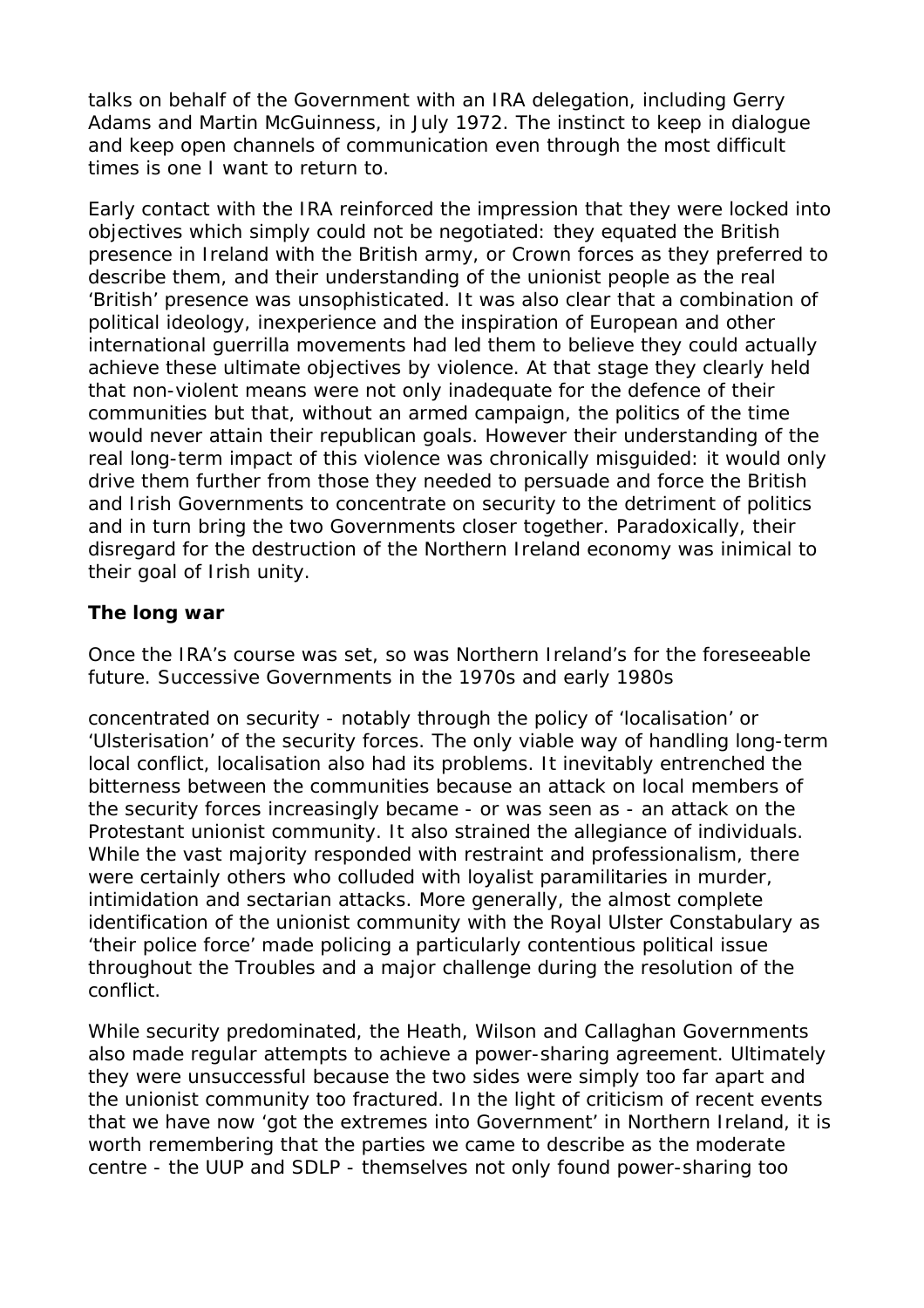talks on behalf of the Government with an IRA delegation, including Gerry Adams and Martin McGuinness, in July 1972. The instinct to keep in dialogue and keep open channels of communication even through the most difficult times is one I want to return to.

Early contact with the IRA reinforced the impression that they were locked into objectives which simply could not be negotiated: they equated the British presence in Ireland with the British army, or Crown forces as they preferred to describe them, and their understanding of the unionist people as the real 'British' presence was unsophisticated. It was also clear that a combination of political ideology, inexperience and the inspiration of European and other international guerrilla movements had led them to believe they could actually achieve these ultimate objectives by violence. At that stage they clearly held that non-violent means were not only inadequate for the defence of their communities but that, without an armed campaign, the politics of the time would never attain their republican goals. However their understanding of the real long-term impact of this violence was chronically misguided: it would only drive them further from those they needed to persuade and force the British and Irish Governments to concentrate on security to the detriment of politics and in turn bring the two Governments closer together. Paradoxically, their disregard for the destruction of the Northern Ireland economy was inimical to their goal of Irish unity.

### **The long war**

Once the IRA's course was set, so was Northern Ireland's for the foreseeable future. Successive Governments in the 1970s and early 1980s

concentrated on security - notably through the policy of 'localisation' or 'Ulsterisation' of the security forces. The only viable way of handling long-term local conflict, localisation also had its problems. It inevitably entrenched the bitterness between the communities because an attack on local members of the security forces increasingly became - or was seen as - an attack on the Protestant unionist community. It also strained the allegiance of individuals. While the vast majority responded with restraint and professionalism, there were certainly others who colluded with loyalist paramilitaries in murder, intimidation and sectarian attacks. More generally, the almost complete identification of the unionist community with the Royal Ulster Constabulary as 'their police force' made policing a particularly contentious political issue throughout the Troubles and a major challenge during the resolution of the conflict.

While security predominated, the Heath, Wilson and Callaghan Governments also made regular attempts to achieve a power-sharing agreement. Ultimately they were unsuccessful because the two sides were simply too far apart and the unionist community too fractured. In the light of criticism of recent events that we have now 'got the extremes into Government' in Northern Ireland, it is worth remembering that the parties we came to describe as the moderate centre - the UUP and SDLP - themselves not only found power-sharing too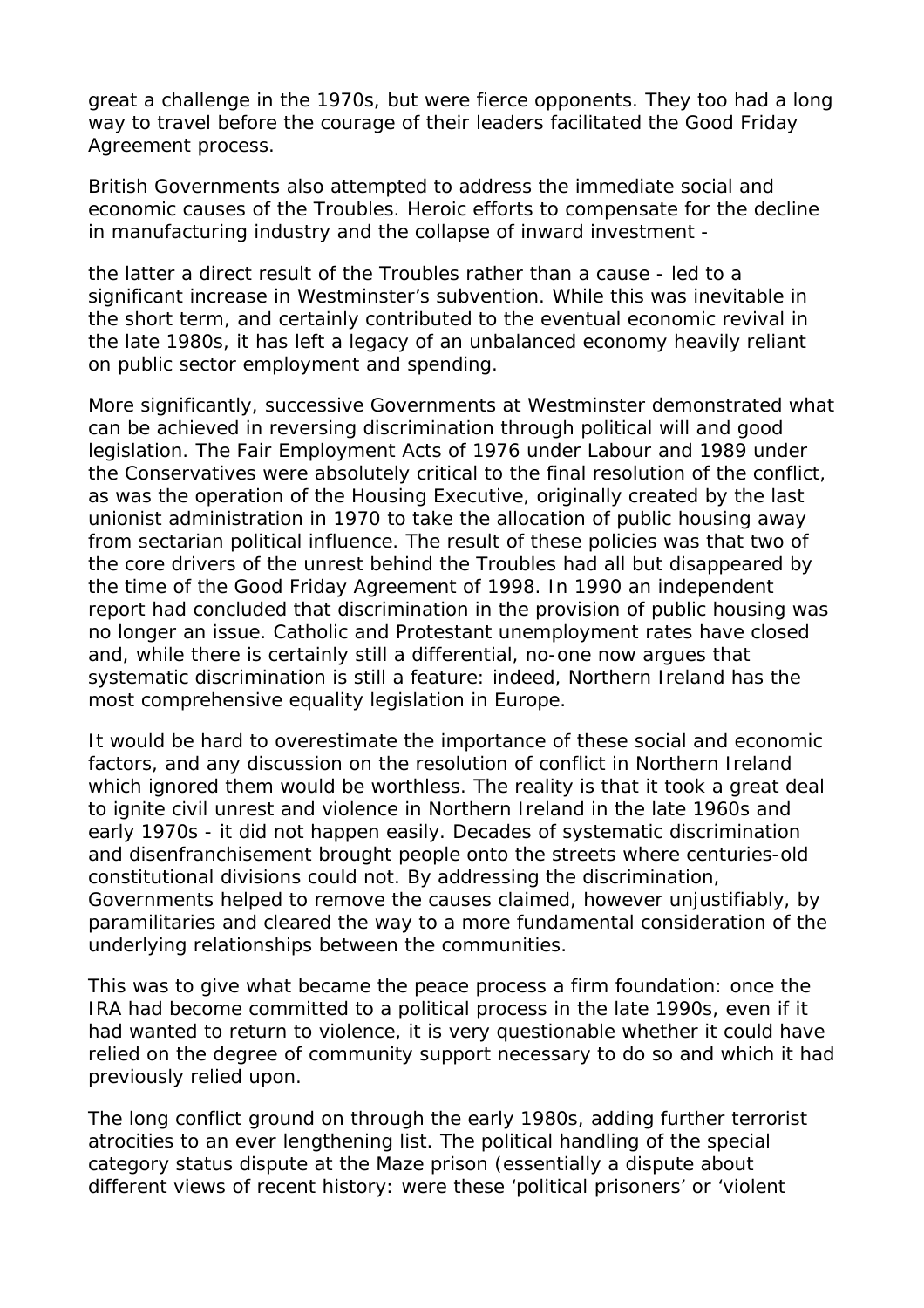great a challenge in the 1970s, but were fierce opponents. They too had a long way to travel before the courage of their leaders facilitated the Good Friday Agreement process.

British Governments also attempted to address the immediate social and economic causes of the Troubles. Heroic efforts to compensate for the decline in manufacturing industry and the collapse of inward investment -

the latter a direct result of the Troubles rather than a cause - led to a significant increase in Westminster's subvention. While this was inevitable in the short term, and certainly contributed to the eventual economic revival in the late 1980s, it has left a legacy of an unbalanced economy heavily reliant on public sector employment and spending.

More significantly, successive Governments at Westminster demonstrated what can be achieved in reversing discrimination through political will and good legislation. The Fair Employment Acts of 1976 under Labour and 1989 under the Conservatives were absolutely critical to the final resolution of the conflict, as was the operation of the Housing Executive, originally created by the last unionist administration in 1970 to take the allocation of public housing away from sectarian political influence. The result of these policies was that two of the core drivers of the unrest behind the Troubles had all but disappeared by the time of the Good Friday Agreement of 1998. In 1990 an independent report had concluded that discrimination in the provision of public housing was no longer an issue. Catholic and Protestant unemployment rates have closed and, while there is certainly still a differential, no-one now argues that systematic discrimination is still a feature: indeed, Northern Ireland has the most comprehensive equality legislation in Europe.

It would be hard to overestimate the importance of these social and economic factors, and any discussion on the resolution of conflict in Northern Ireland which ignored them would be worthless. The reality is that it took a great deal to ignite civil unrest and violence in Northern Ireland in the late 1960s and early 1970s - it did not happen easily. Decades of systematic discrimination and disenfranchisement brought people onto the streets where centuries-old constitutional divisions could not. By addressing the discrimination, Governments helped to remove the causes claimed, however unjustifiably, by paramilitaries and cleared the way to a more fundamental consideration of the underlying relationships between the communities.

This was to give what became the peace process a firm foundation: once the IRA had become committed to a political process in the late 1990s, even if it had wanted to return to violence, it is very questionable whether it could have relied on the degree of community support necessary to do so and which it had previously relied upon.

The long conflict ground on through the early 1980s, adding further terrorist atrocities to an ever lengthening list. The political handling of the special category status dispute at the Maze prison (essentially a dispute about different views of recent history: were these 'political prisoners' or 'violent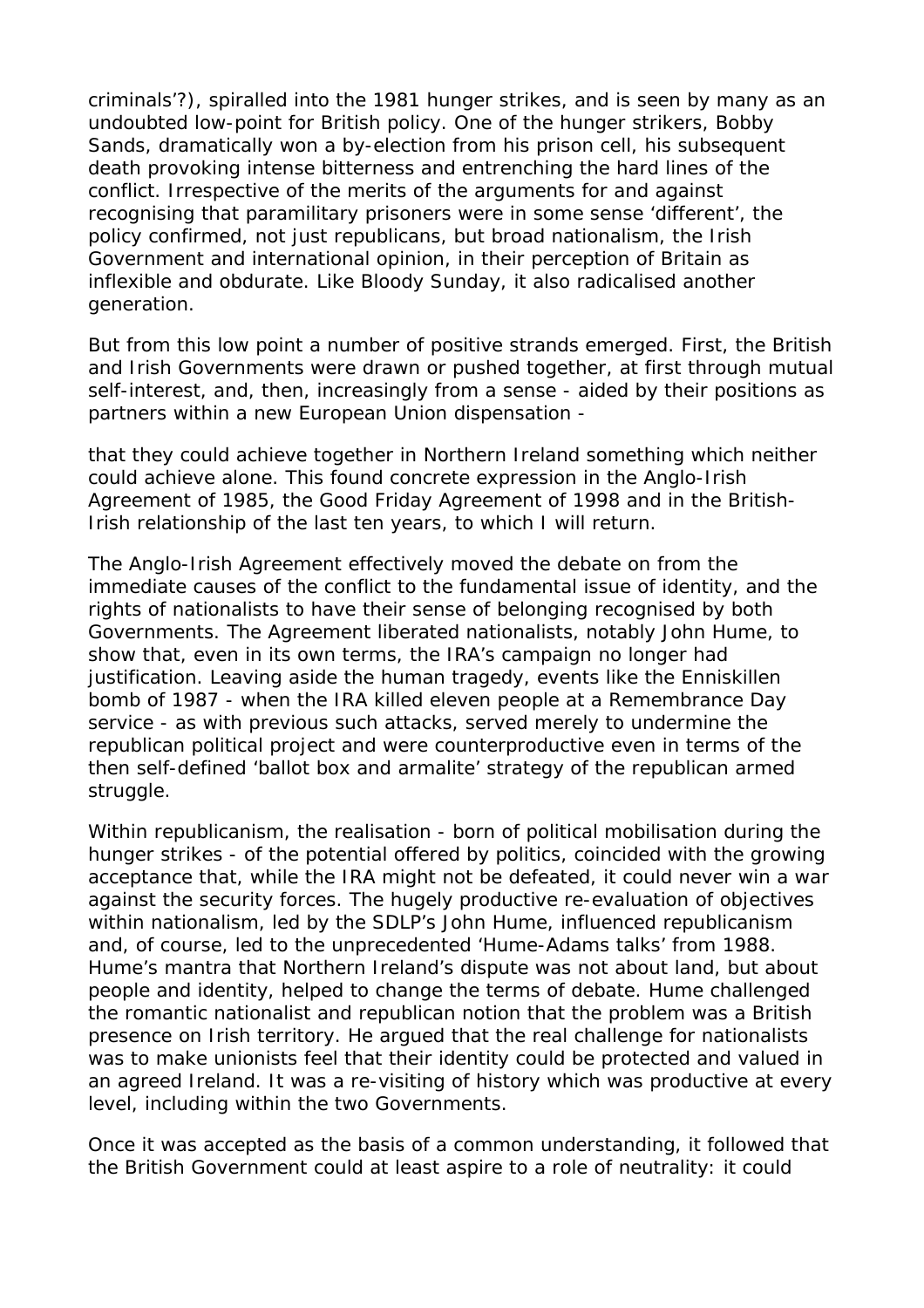criminals'?), spiralled into the 1981 hunger strikes, and is seen by many as an undoubted low-point for British policy. One of the hunger strikers, Bobby Sands, dramatically won a by-election from his prison cell, his subsequent death provoking intense bitterness and entrenching the hard lines of the conflict. Irrespective of the merits of the arguments for and against recognising that paramilitary prisoners were in some sense 'different', the policy confirmed, not just republicans, but broad nationalism, the Irish Government and international opinion, in their perception of Britain as inflexible and obdurate. Like Bloody Sunday, it also radicalised another generation.

But from this low point a number of positive strands emerged. First, the British and Irish Governments were drawn or pushed together, at first through mutual self-interest, and, then, increasingly from a sense - aided by their positions as partners within a new European Union dispensation -

that they could achieve together in Northern Ireland something which neither could achieve alone. This found concrete expression in the Anglo-Irish Agreement of 1985, the Good Friday Agreement of 1998 and in the British-Irish relationship of the last ten years, to which I will return.

The Anglo-Irish Agreement effectively moved the debate on from the immediate causes of the conflict to the fundamental issue of identity, and the rights of nationalists to have their sense of belonging recognised by both Governments. The Agreement liberated nationalists, notably John Hume, to show that, even in its own terms, the IRA's campaign no longer had justification. Leaving aside the human tragedy, events like the Enniskillen bomb of 1987 - when the IRA killed eleven people at a Remembrance Day service - as with previous such attacks, served merely to undermine the republican political project and were counterproductive even in terms of the then self-defined 'ballot box and armalite' strategy of the republican armed struggle.

Within republicanism, the realisation - born of political mobilisation during the hunger strikes - of the potential offered by politics, coincided with the growing acceptance that, while the IRA might not be defeated, it could never win a war against the security forces. The hugely productive re-evaluation of objectives within nationalism, led by the SDLP's John Hume, influenced republicanism and, of course, led to the unprecedented 'Hume-Adams talks' from 1988. Hume's mantra that Northern Ireland's dispute was not about land, but about people and identity, helped to change the terms of debate. Hume challenged the romantic nationalist and republican notion that the problem was a British presence on Irish territory. He argued that the real challenge for nationalists was to make unionists feel that their identity could be protected and valued in an agreed Ireland. It was a re-visiting of history which was productive at every level, including within the two Governments.

Once it was accepted as the basis of a common understanding, it followed that the British Government could at least aspire to a role of neutrality: it could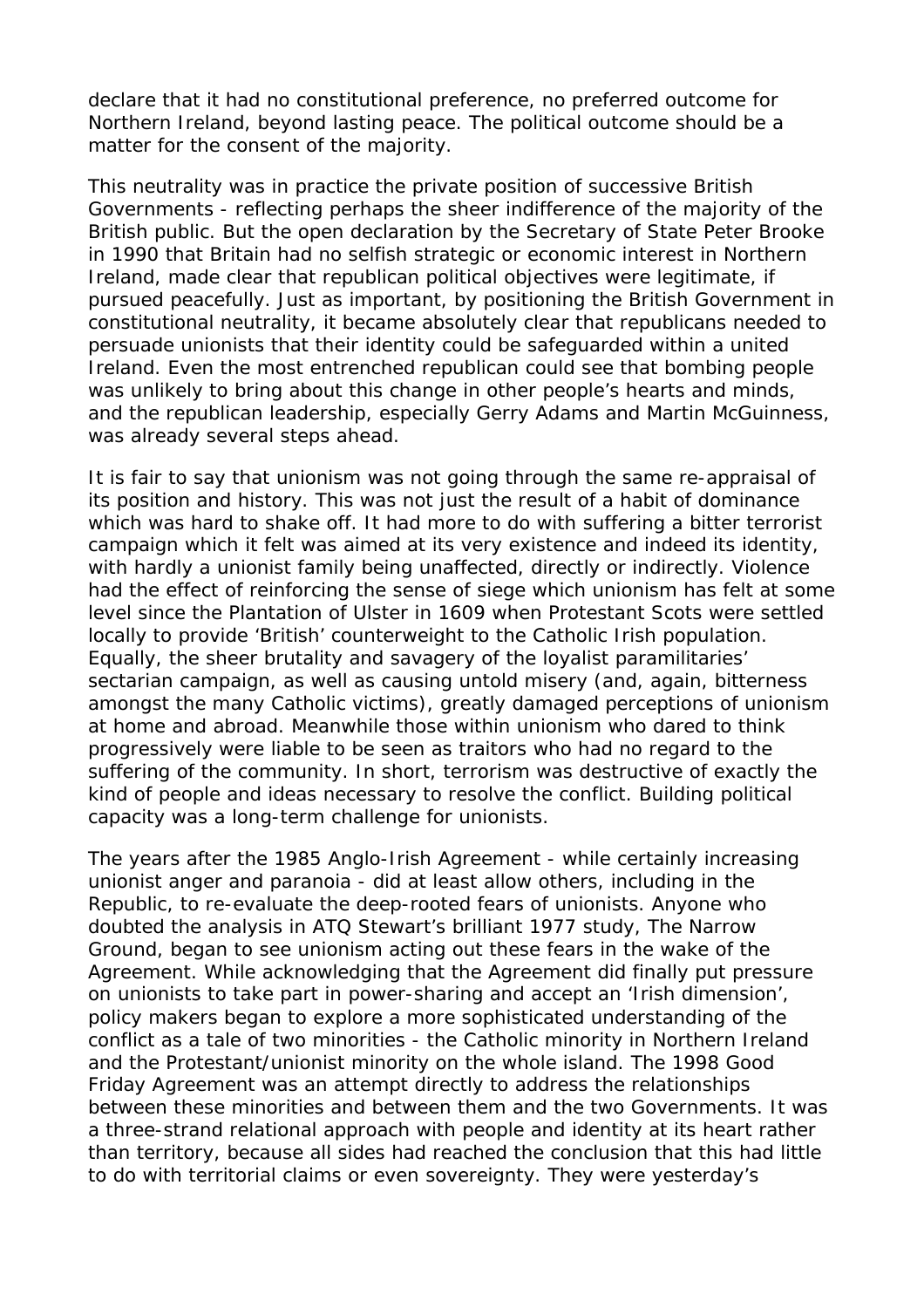declare that it had no constitutional preference, no preferred outcome for Northern Ireland, beyond lasting peace. The political outcome should be a matter for the consent of the majority.

This neutrality was in practice the private position of successive British Governments - reflecting perhaps the sheer indifference of the majority of the British public. But the open declaration by the Secretary of State Peter Brooke in 1990 that Britain had no selfish strategic or economic interest in Northern Ireland, made clear that republican political objectives were legitimate, if pursued peacefully. Just as important, by positioning the British Government in constitutional neutrality, it became absolutely clear that republicans needed to persuade unionists that their identity could be safeguarded within a united Ireland. Even the most entrenched republican could see that bombing people was unlikely to bring about this change in other people's hearts and minds, and the republican leadership, especially Gerry Adams and Martin McGuinness, was already several steps ahead.

It is fair to say that unionism was not going through the same re-appraisal of its position and history. This was not just the result of a habit of dominance which was hard to shake off. It had more to do with suffering a bitter terrorist campaign which it felt was aimed at its very existence and indeed its identity, with hardly a unionist family being unaffected, directly or indirectly. Violence had the effect of reinforcing the sense of siege which unionism has felt at some level since the Plantation of Ulster in 1609 when Protestant Scots were settled locally to provide 'British' counterweight to the Catholic Irish population. Equally, the sheer brutality and savagery of the loyalist paramilitaries' sectarian campaign, as well as causing untold misery (and, again, bitterness amongst the many Catholic victims), greatly damaged perceptions of unionism at home and abroad. Meanwhile those within unionism who dared to think progressively were liable to be seen as traitors who had no regard to the suffering of the community. In short, terrorism was destructive of exactly the kind of people and ideas necessary to resolve the conflict. Building political capacity was a long-term challenge for unionists.

The years after the 1985 Anglo-Irish Agreement - while certainly increasing unionist anger and paranoia - did at least allow others, including in the Republic, to re-evaluate the deep-rooted fears of unionists. Anyone who doubted the analysis in ATQ Stewart's brilliant 1977 study, The Narrow Ground, began to see unionism acting out these fears in the wake of the Agreement. While acknowledging that the Agreement did finally put pressure on unionists to take part in power-sharing and accept an 'Irish dimension', policy makers began to explore a more sophisticated understanding of the conflict as a tale of two minorities - the Catholic minority in Northern Ireland and the Protestant/unionist minority on the whole island. The 1998 Good Friday Agreement was an attempt directly to address the relationships between these minorities and between them and the two Governments. It was a three-strand relational approach with people and identity at its heart rather than territory, because all sides had reached the conclusion that this had little to do with territorial claims or even sovereignty. They were yesterday's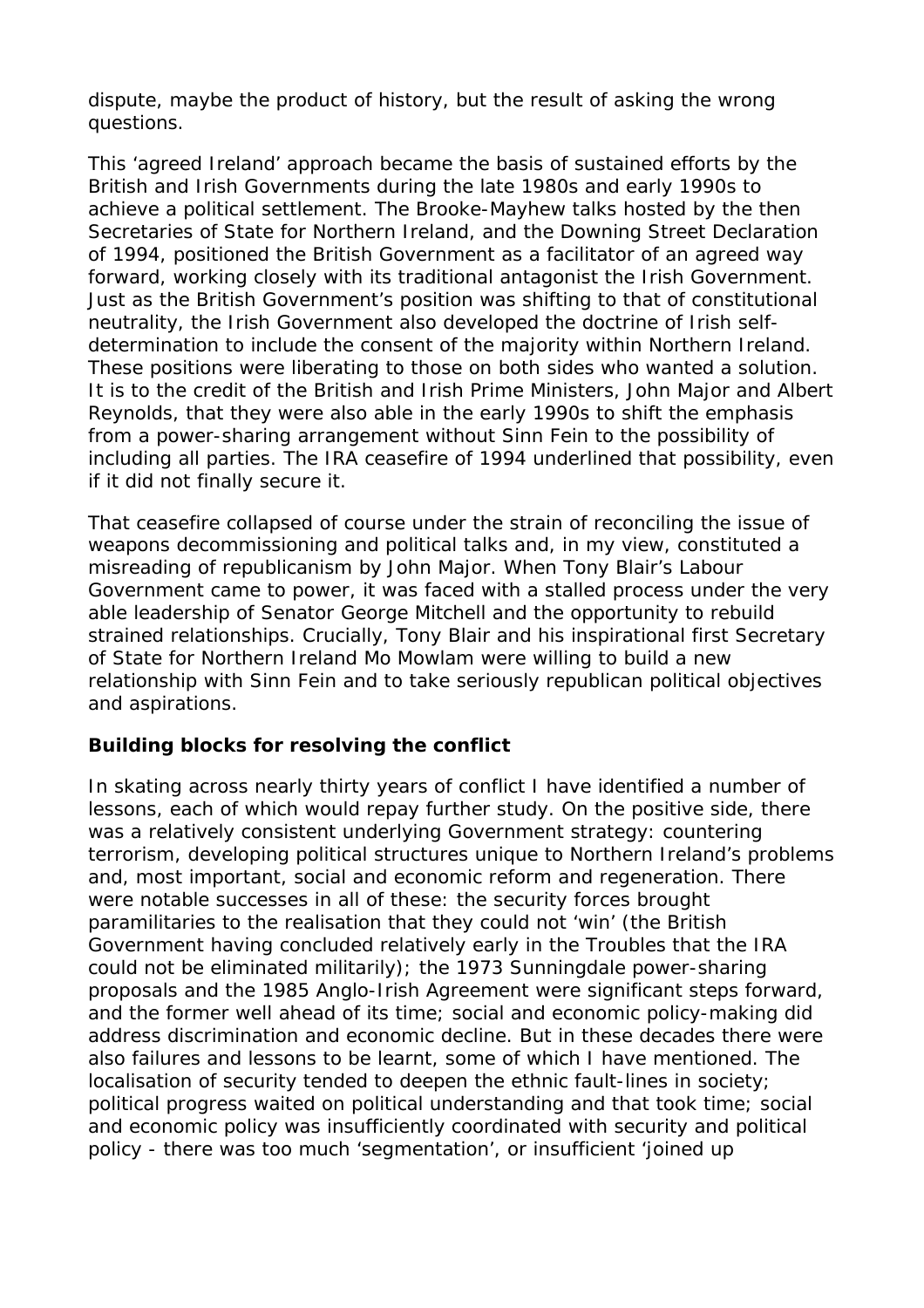dispute, maybe the product of history, but the result of asking the wrong questions.

This 'agreed Ireland' approach became the basis of sustained efforts by the British and Irish Governments during the late 1980s and early 1990s to achieve a political settlement. The Brooke-Mayhew talks hosted by the then Secretaries of State for Northern Ireland, and the Downing Street Declaration of 1994, positioned the British Government as a facilitator of an agreed way forward, working closely with its traditional antagonist the Irish Government. Just as the British Government's position was shifting to that of constitutional neutrality, the Irish Government also developed the doctrine of Irish selfdetermination to include the consent of the majority within Northern Ireland. These positions were liberating to those on both sides who wanted a solution. It is to the credit of the British and Irish Prime Ministers, John Major and Albert Reynolds, that they were also able in the early 1990s to shift the emphasis from a power-sharing arrangement without Sinn Fein to the possibility of including all parties. The IRA ceasefire of 1994 underlined that possibility, even if it did not finally secure it.

That ceasefire collapsed of course under the strain of reconciling the issue of weapons decommissioning and political talks and, in my view, constituted a misreading of republicanism by John Major. When Tony Blair's Labour Government came to power, it was faced with a stalled process under the very able leadership of Senator George Mitchell and the opportunity to rebuild strained relationships. Crucially, Tony Blair and his inspirational first Secretary of State for Northern Ireland Mo Mowlam were willing to build a new relationship with Sinn Fein and to take seriously republican political objectives and aspirations.

#### **Building blocks for resolving the conflict**

In skating across nearly thirty years of conflict I have identified a number of lessons, each of which would repay further study. On the positive side, there was a relatively consistent underlying Government strategy: countering terrorism, developing political structures unique to Northern Ireland's problems and, most important, social and economic reform and regeneration. There were notable successes in all of these: the security forces brought paramilitaries to the realisation that they could not 'win' (the British Government having concluded relatively early in the Troubles that the IRA could not be eliminated militarily); the 1973 Sunningdale power-sharing proposals and the 1985 Anglo-Irish Agreement were significant steps forward, and the former well ahead of its time; social and economic policy-making did address discrimination and economic decline. But in these decades there were also failures and lessons to be learnt, some of which I have mentioned. The localisation of security tended to deepen the ethnic fault-lines in society; political progress waited on political understanding and that took time; social and economic policy was insufficiently coordinated with security and political policy - there was too much 'segmentation', or insufficient 'joined up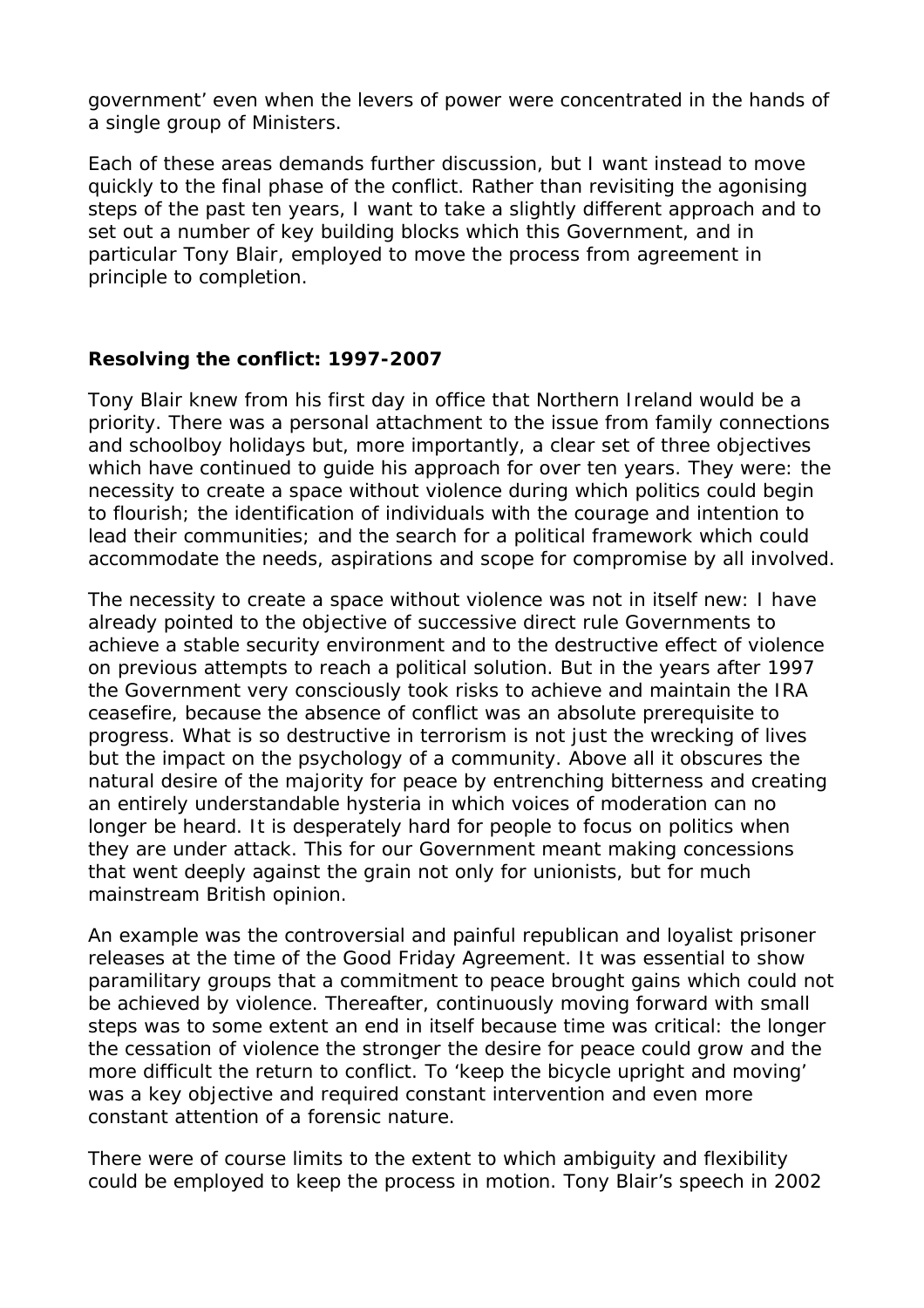government' even when the levers of power were concentrated in the hands of a single group of Ministers.

Each of these areas demands further discussion, but I want instead to move quickly to the final phase of the conflict. Rather than revisiting the agonising steps of the past ten years, I want to take a slightly different approach and to set out a number of key building blocks which this Government, and in particular Tony Blair, employed to move the process from agreement in principle to completion.

#### **Resolving the conflict: 1997-2007**

Tony Blair knew from his first day in office that Northern Ireland would be a priority. There was a personal attachment to the issue from family connections and schoolboy holidays but, more importantly, a clear set of three objectives which have continued to guide his approach for over ten years. They were: the necessity to create a space without violence during which politics could begin to flourish; the identification of individuals with the courage and intention to lead their communities; and the search for a political framework which could accommodate the needs, aspirations and scope for compromise by all involved.

The necessity to create a space without violence was not in itself new: I have already pointed to the objective of successive direct rule Governments to achieve a stable security environment and to the destructive effect of violence on previous attempts to reach a political solution. But in the years after 1997 the Government very consciously took risks to achieve and maintain the IRA ceasefire, because the absence of conflict was an absolute prerequisite to progress. What is so destructive in terrorism is not just the wrecking of lives but the impact on the psychology of a community. Above all it obscures the natural desire of the majority for peace by entrenching bitterness and creating an entirely understandable hysteria in which voices of moderation can no longer be heard. It is desperately hard for people to focus on politics when they are under attack. This for our Government meant making concessions that went deeply against the grain not only for unionists, but for much mainstream British opinion.

An example was the controversial and painful republican and loyalist prisoner releases at the time of the Good Friday Agreement. It was essential to show paramilitary groups that a commitment to peace brought gains which could not be achieved by violence. Thereafter, continuously moving forward with small steps was to some extent an end in itself because time was critical: the longer the cessation of violence the stronger the desire for peace could grow and the more difficult the return to conflict. To 'keep the bicycle upright and moving' was a key objective and required constant intervention and even more constant attention of a forensic nature.

There were of course limits to the extent to which ambiguity and flexibility could be employed to keep the process in motion. Tony Blair's speech in 2002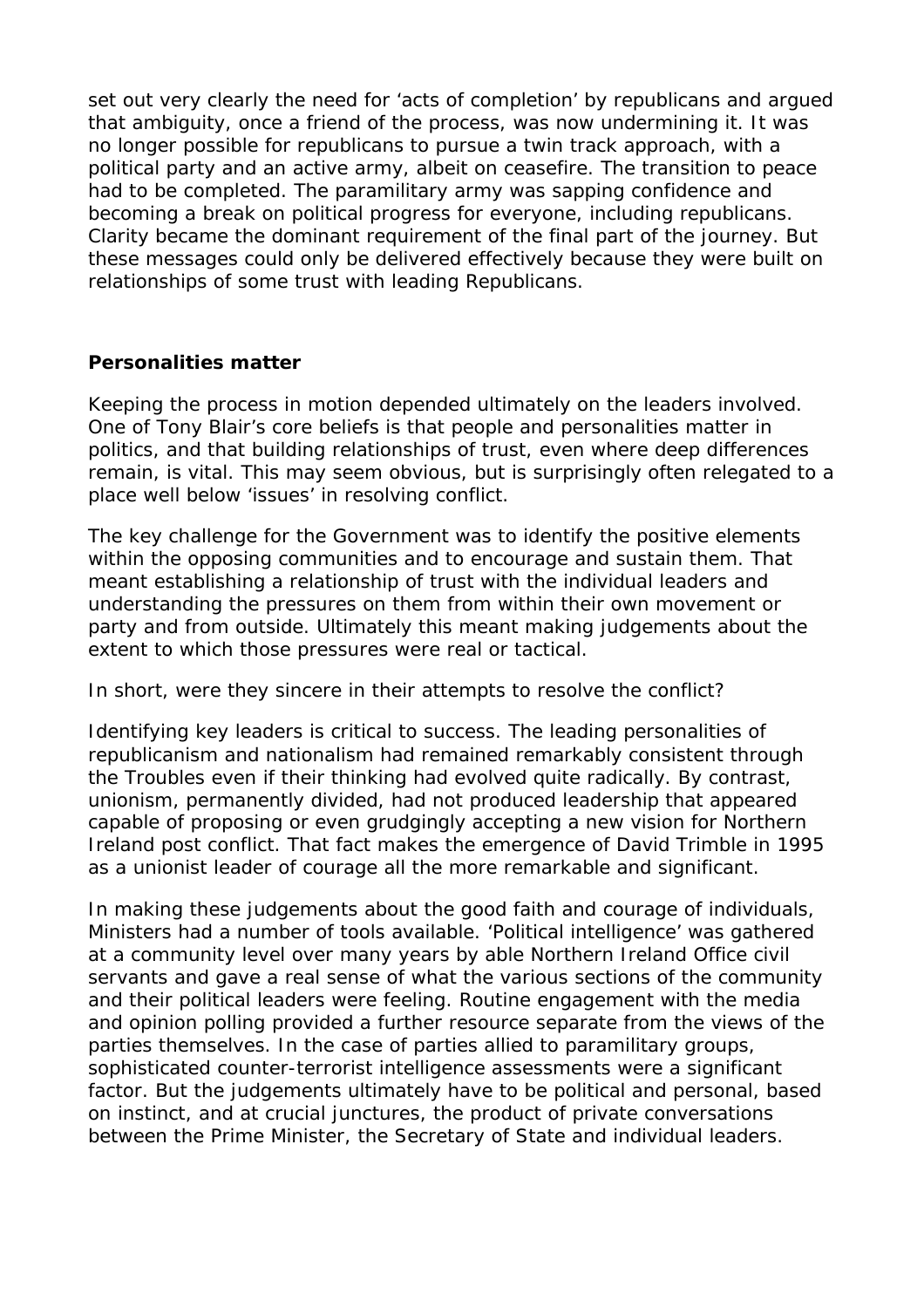set out very clearly the need for 'acts of completion' by republicans and argued that ambiguity, once a friend of the process, was now undermining it. It was no longer possible for republicans to pursue a twin track approach, with a political party and an active army, albeit on ceasefire. The transition to peace had to be completed. The paramilitary army was sapping confidence and becoming a break on political progress for everyone, including republicans. Clarity became the dominant requirement of the final part of the journey. But these messages could only be delivered effectively because they were built on relationships of some trust with leading Republicans.

#### **Personalities matter**

Keeping the process in motion depended ultimately on the leaders involved. One of Tony Blair's core beliefs is that people and personalities matter in politics, and that building relationships of trust, even where deep differences remain, is vital. This may seem obvious, but is surprisingly often relegated to a place well below 'issues' in resolving conflict.

The key challenge for the Government was to identify the positive elements within the opposing communities and to encourage and sustain them. That meant establishing a relationship of trust with the individual leaders and understanding the pressures on them from within their own movement or party and from outside. Ultimately this meant making judgements about the extent to which those pressures were real or tactical.

In short, were they sincere in their attempts to resolve the conflict?

Identifying key leaders is critical to success. The leading personalities of republicanism and nationalism had remained remarkably consistent through the Troubles even if their thinking had evolved quite radically. By contrast, unionism, permanently divided, had not produced leadership that appeared capable of proposing or even grudgingly accepting a new vision for Northern Ireland post conflict. That fact makes the emergence of David Trimble in 1995 as a unionist leader of courage all the more remarkable and significant.

In making these judgements about the good faith and courage of individuals, Ministers had a number of tools available. 'Political intelligence' was gathered at a community level over many years by able Northern Ireland Office civil servants and gave a real sense of what the various sections of the community and their political leaders were feeling. Routine engagement with the media and opinion polling provided a further resource separate from the views of the parties themselves. In the case of parties allied to paramilitary groups, sophisticated counter-terrorist intelligence assessments were a significant factor. But the judgements ultimately have to be political and personal, based on instinct, and at crucial junctures, the product of private conversations between the Prime Minister, the Secretary of State and individual leaders.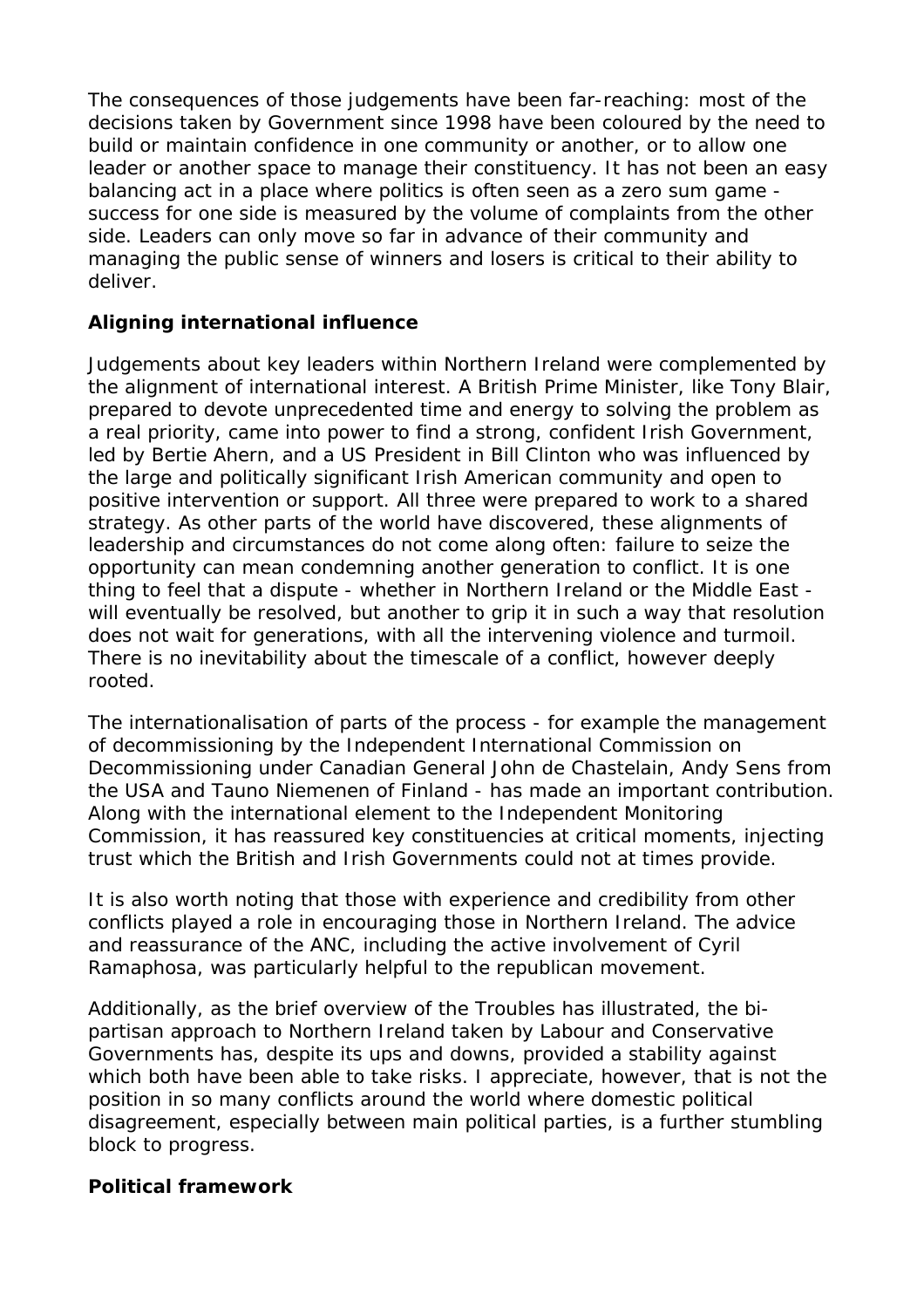The consequences of those judgements have been far-reaching: most of the decisions taken by Government since 1998 have been coloured by the need to build or maintain confidence in one community or another, or to allow one leader or another space to manage their constituency. It has not been an easy balancing act in a place where politics is often seen as a zero sum game success for one side is measured by the volume of complaints from the other side. Leaders can only move so far in advance of their community and managing the public sense of winners and losers is critical to their ability to deliver.

# **Aligning international influence**

Judgements about key leaders within Northern Ireland were complemented by the alignment of international interest. A British Prime Minister, like Tony Blair, prepared to devote unprecedented time and energy to solving the problem as a real priority, came into power to find a strong, confident Irish Government, led by Bertie Ahern, and a US President in Bill Clinton who was influenced by the large and politically significant Irish American community and open to positive intervention or support. All three were prepared to work to a shared strategy. As other parts of the world have discovered, these alignments of leadership and circumstances do not come along often: failure to seize the opportunity can mean condemning another generation to conflict. It is one thing to feel that a dispute - whether in Northern Ireland or the Middle East will eventually be resolved, but another to grip it in such a way that resolution does not wait for generations, with all the intervening violence and turmoil. There is no inevitability about the timescale of a conflict, however deeply rooted.

The internationalisation of parts of the process - for example the management of decommissioning by the Independent International Commission on Decommissioning under Canadian General John de Chastelain, Andy Sens from the USA and Tauno Niemenen of Finland - has made an important contribution. Along with the international element to the Independent Monitoring Commission, it has reassured key constituencies at critical moments, injecting trust which the British and Irish Governments could not at times provide.

It is also worth noting that those with experience and credibility from other conflicts played a role in encouraging those in Northern Ireland. The advice and reassurance of the ANC, including the active involvement of Cyril Ramaphosa, was particularly helpful to the republican movement.

Additionally, as the brief overview of the Troubles has illustrated, the bipartisan approach to Northern Ireland taken by Labour and Conservative Governments has, despite its ups and downs, provided a stability against which both have been able to take risks. I appreciate, however, that is not the position in so many conflicts around the world where domestic political disagreement, especially between main political parties, is a further stumbling block to progress.

# **Political framework**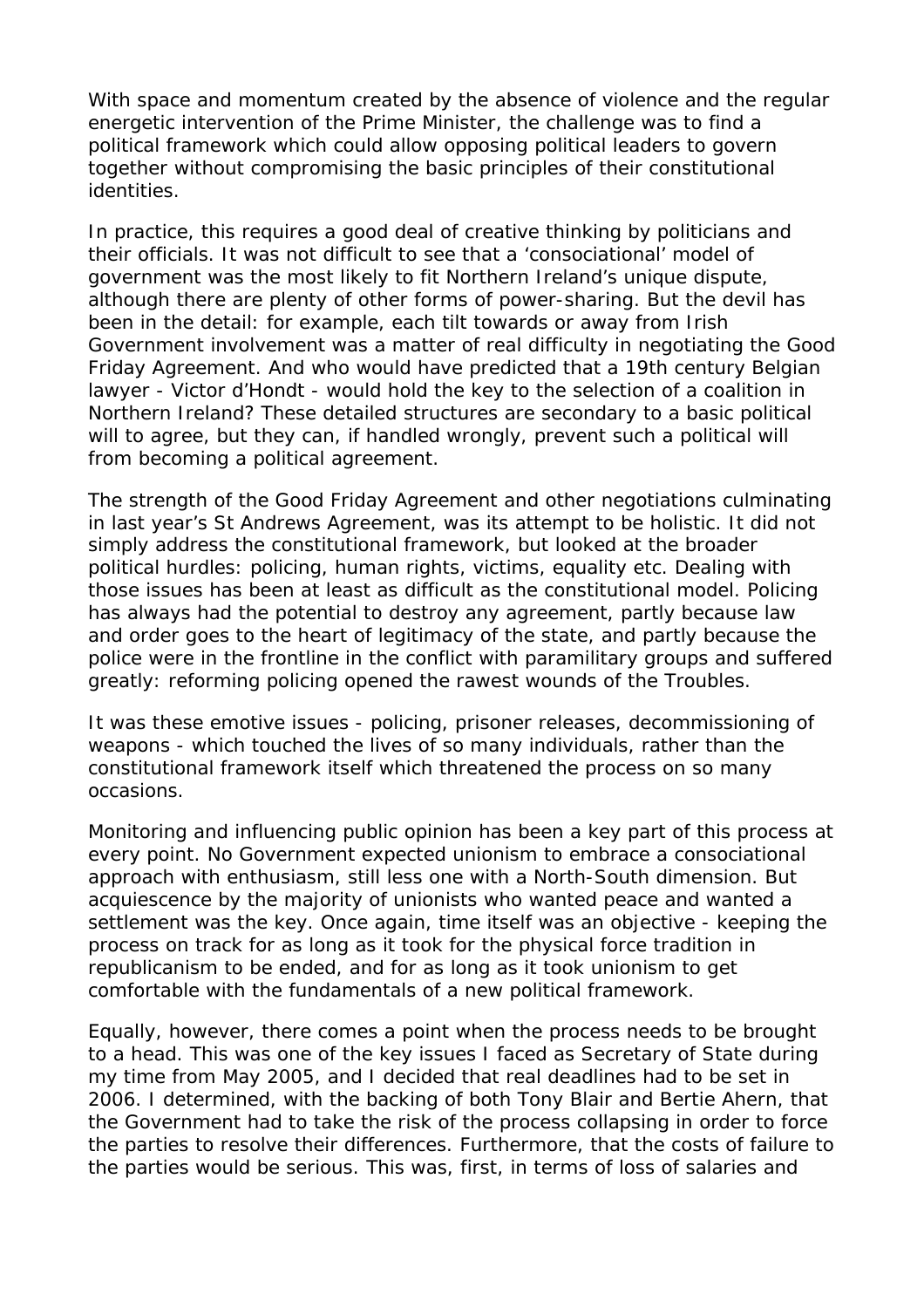With space and momentum created by the absence of violence and the regular energetic intervention of the Prime Minister, the challenge was to find a political framework which could allow opposing political leaders to govern together without compromising the basic principles of their constitutional identities.

In practice, this requires a good deal of creative thinking by politicians and their officials. It was not difficult to see that a 'consociational' model of government was the most likely to fit Northern Ireland's unique dispute, although there are plenty of other forms of power-sharing. But the devil has been in the detail: for example, each tilt towards or away from Irish Government involvement was a matter of real difficulty in negotiating the Good Friday Agreement. And who would have predicted that a 19th century Belgian lawyer - Victor d'Hondt - would hold the key to the selection of a coalition in Northern Ireland? These detailed structures are secondary to a basic political will to agree, but they can, if handled wrongly, prevent such a political will from becoming a political agreement.

The strength of the Good Friday Agreement and other negotiations culminating in last year's St Andrews Agreement, was its attempt to be holistic. It did not simply address the constitutional framework, but looked at the broader political hurdles: policing, human rights, victims, equality etc. Dealing with those issues has been at least as difficult as the constitutional model. Policing has always had the potential to destroy any agreement, partly because law and order goes to the heart of legitimacy of the state, and partly because the police were in the frontline in the conflict with paramilitary groups and suffered greatly: reforming policing opened the rawest wounds of the Troubles.

It was these emotive issues - policing, prisoner releases, decommissioning of weapons - which touched the lives of so many individuals, rather than the constitutional framework itself which threatened the process on so many occasions.

Monitoring and influencing public opinion has been a key part of this process at every point. No Government expected unionism to embrace a consociational approach with enthusiasm, still less one with a North-South dimension. But acquiescence by the majority of unionists who wanted peace and wanted a settlement was the key. Once again, time itself was an objective - keeping the process on track for as long as it took for the physical force tradition in republicanism to be ended, and for as long as it took unionism to get comfortable with the fundamentals of a new political framework.

Equally, however, there comes a point when the process needs to be brought to a head. This was one of the key issues I faced as Secretary of State during my time from May 2005, and I decided that real deadlines had to be set in 2006. I determined, with the backing of both Tony Blair and Bertie Ahern, that the Government had to take the risk of the process collapsing in order to force the parties to resolve their differences. Furthermore, that the costs of failure to the parties would be serious. This was, first, in terms of loss of salaries and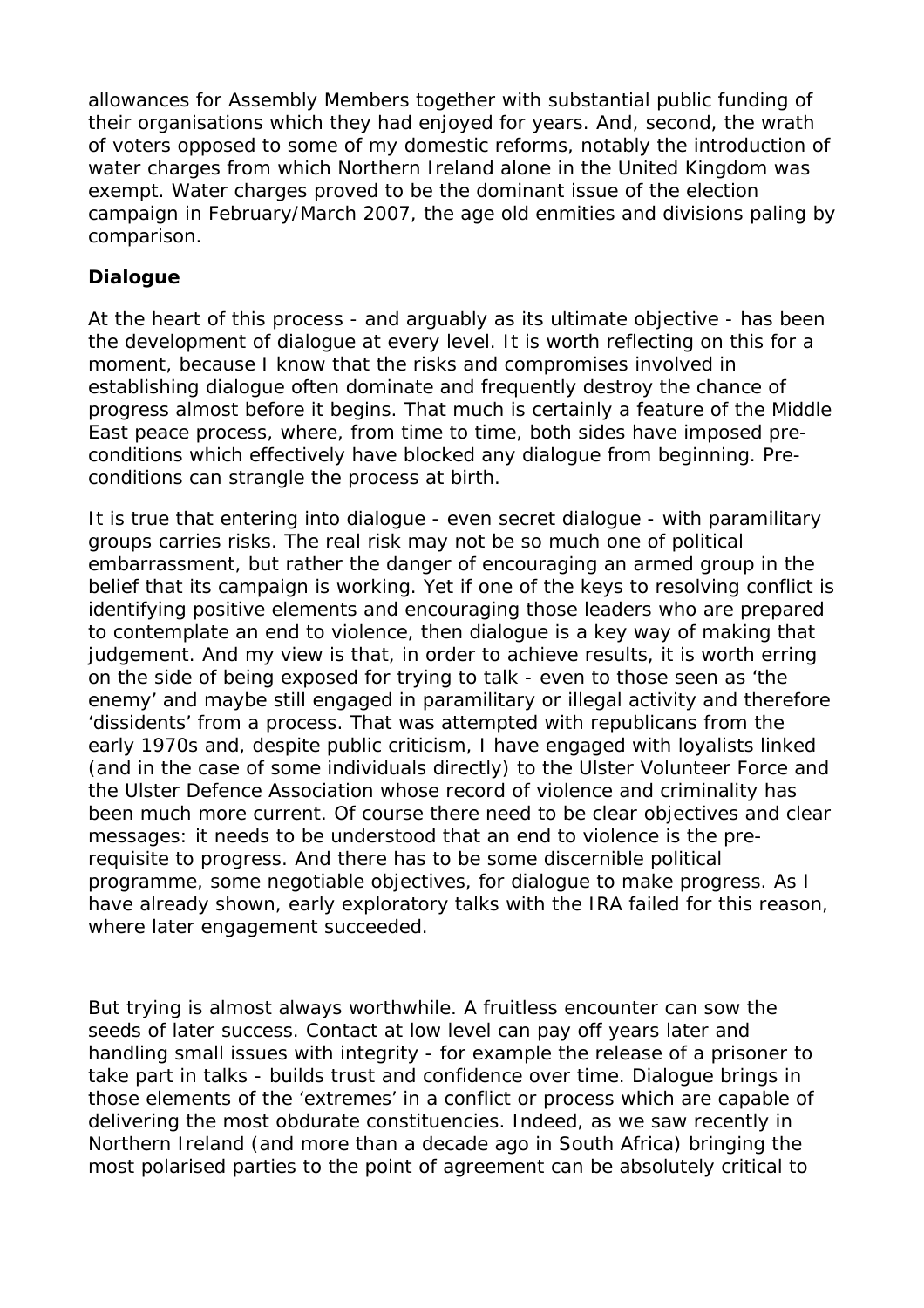allowances for Assembly Members together with substantial public funding of their organisations which they had enjoyed for years. And, second, the wrath of voters opposed to some of my domestic reforms, notably the introduction of water charges from which Northern Ireland alone in the United Kingdom was exempt. Water charges proved to be the dominant issue of the election campaign in February/March 2007, the age old enmities and divisions paling by comparison.

# **Dialogue**

At the heart of this process - and arguably as its ultimate objective - has been the development of dialogue at every level. It is worth reflecting on this for a moment, because I know that the risks and compromises involved in establishing dialogue often dominate and frequently destroy the chance of progress almost before it begins. That much is certainly a feature of the Middle East peace process, where, from time to time, both sides have imposed preconditions which effectively have blocked any dialogue from beginning. Preconditions can strangle the process at birth.

It is true that entering into dialogue - even secret dialogue - with paramilitary groups carries risks. The real risk may not be so much one of political embarrassment, but rather the danger of encouraging an armed group in the belief that its campaign is working. Yet if one of the keys to resolving conflict is identifying positive elements and encouraging those leaders who are prepared to contemplate an end to violence, then dialogue is a key way of making that judgement. And my view is that, in order to achieve results, it is worth erring on the side of being exposed for trying to talk - even to those seen as 'the enemy' and maybe still engaged in paramilitary or illegal activity and therefore 'dissidents' from a process. That was attempted with republicans from the early 1970s and, despite public criticism, I have engaged with loyalists linked (and in the case of some individuals directly) to the Ulster Volunteer Force and the Ulster Defence Association whose record of violence and criminality has been much more current. Of course there need to be clear objectives and clear messages: it needs to be understood that an end to violence is the prerequisite to progress. And there has to be some discernible political programme, some negotiable objectives, for dialogue to make progress. As I have already shown, early exploratory talks with the IRA failed for this reason, where later engagement succeeded.

But trying is almost always worthwhile. A fruitless encounter can sow the seeds of later success. Contact at low level can pay off years later and handling small issues with integrity - for example the release of a prisoner to take part in talks - builds trust and confidence over time. Dialogue brings in those elements of the 'extremes' in a conflict or process which are capable of delivering the most obdurate constituencies. Indeed, as we saw recently in Northern Ireland (and more than a decade ago in South Africa) bringing the most polarised parties to the point of agreement can be absolutely critical to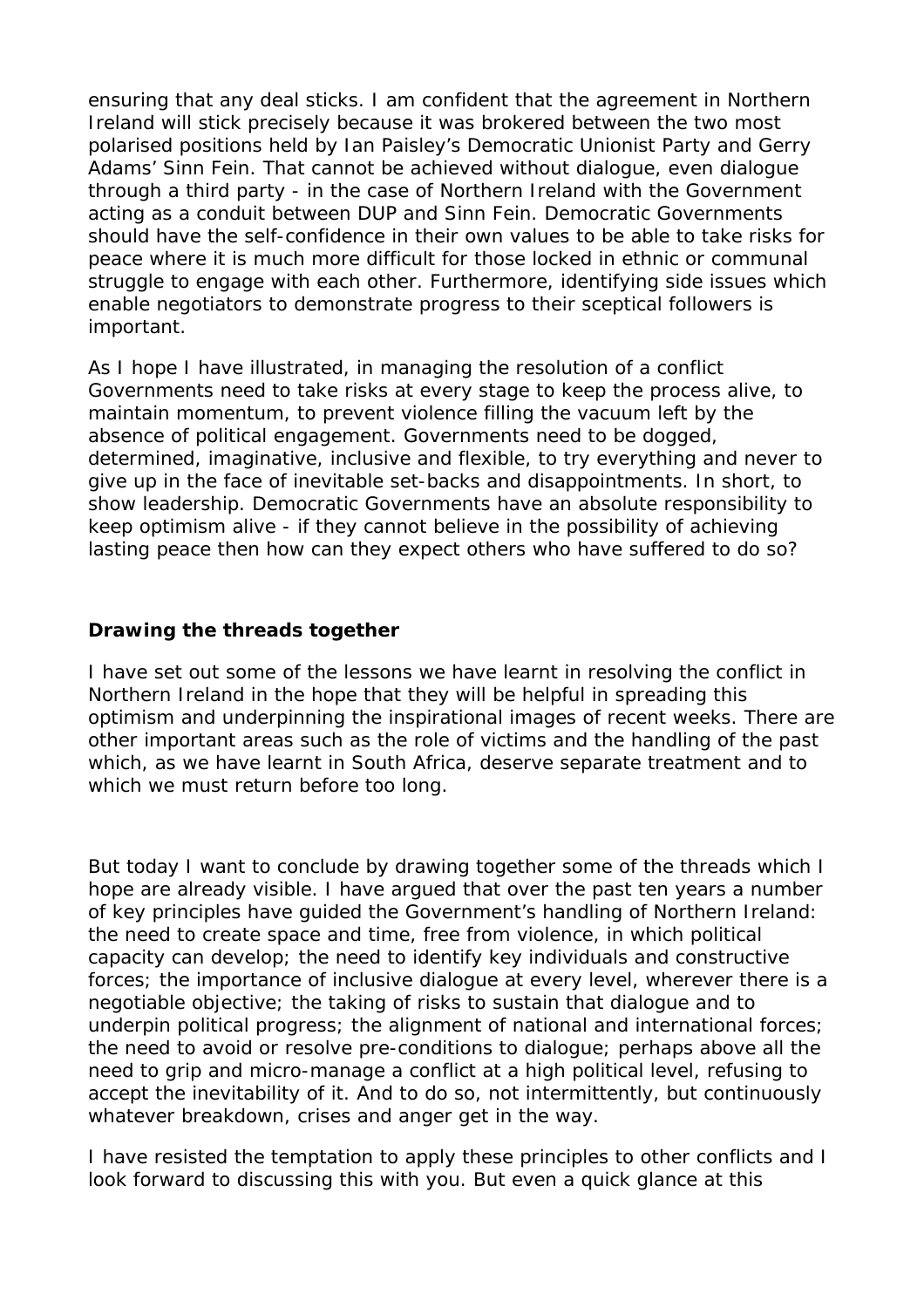ensuring that any deal sticks. I am confident that the agreement in Northern Ireland will stick precisely because it was brokered between the two most polarised positions held by Ian Paisley's Democratic Unionist Party and Gerry Adams' Sinn Fein. That cannot be achieved without dialogue, even dialogue through a third party - in the case of Northern Ireland with the Government acting as a conduit between DUP and Sinn Fein. Democratic Governments should have the self-confidence in their own values to be able to take risks for peace where it is much more difficult for those locked in ethnic or communal struggle to engage with each other. Furthermore, identifying side issues which enable negotiators to demonstrate progress to their sceptical followers is important.

As I hope I have illustrated, in managing the resolution of a conflict Governments need to take risks at every stage to keep the process alive, to maintain momentum, to prevent violence filling the vacuum left by the absence of political engagement. Governments need to be dogged, determined, imaginative, inclusive and flexible, to try everything and never to give up in the face of inevitable set-backs and disappointments. In short, to show leadership. Democratic Governments have an absolute responsibility to keep optimism alive - if they cannot believe in the possibility of achieving lasting peace then how can they expect others who have suffered to do so?

### **Drawing the threads together**

I have set out some of the lessons we have learnt in resolving the conflict in Northern Ireland in the hope that they will be helpful in spreading this optimism and underpinning the inspirational images of recent weeks. There are other important areas such as the role of victims and the handling of the past which, as we have learnt in South Africa, deserve separate treatment and to which we must return before too long.

But today I want to conclude by drawing together some of the threads which I hope are already visible. I have argued that over the past ten years a number of key principles have guided the Government's handling of Northern Ireland: the need to create space and time, free from violence, in which political capacity can develop; the need to identify key individuals and constructive forces; the importance of inclusive dialogue at every level, wherever there is a negotiable objective; the taking of risks to sustain that dialogue and to underpin political progress; the alignment of national and international forces; the need to avoid or resolve pre-conditions to dialogue; perhaps above all the need to grip and micro-manage a conflict at a high political level, refusing to accept the inevitability of it. And to do so, not intermittently, but continuously whatever breakdown, crises and anger get in the way.

I have resisted the temptation to apply these principles to other conflicts and I look forward to discussing this with you. But even a quick glance at this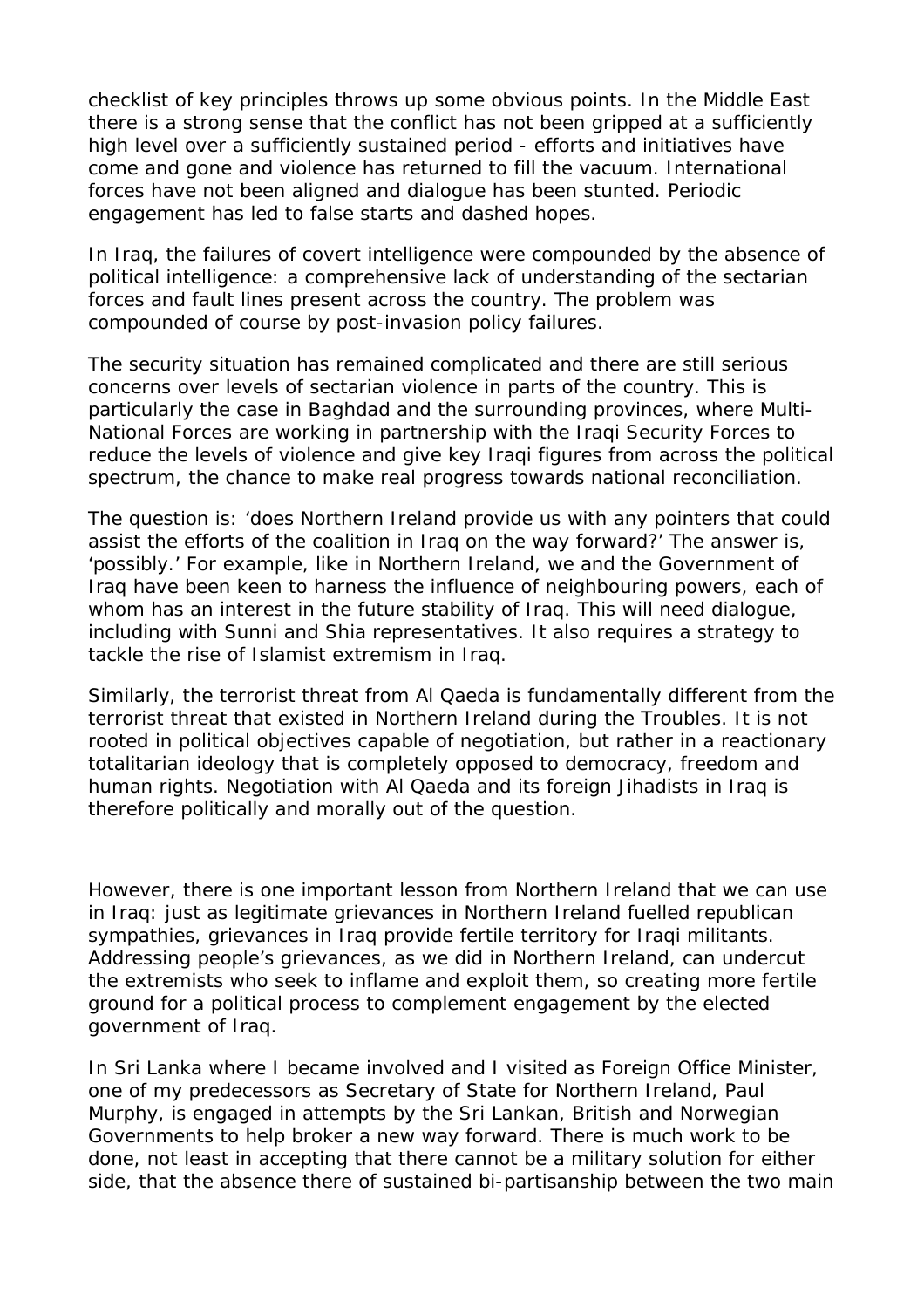checklist of key principles throws up some obvious points. In the Middle East there is a strong sense that the conflict has not been gripped at a sufficiently high level over a sufficiently sustained period - efforts and initiatives have come and gone and violence has returned to fill the vacuum. International forces have not been aligned and dialogue has been stunted. Periodic engagement has led to false starts and dashed hopes.

In Iraq, the failures of covert intelligence were compounded by the absence of political intelligence: a comprehensive lack of understanding of the sectarian forces and fault lines present across the country. The problem was compounded of course by post-invasion policy failures.

The security situation has remained complicated and there are still serious concerns over levels of sectarian violence in parts of the country. This is particularly the case in Baghdad and the surrounding provinces, where Multi-National Forces are working in partnership with the Iraqi Security Forces to reduce the levels of violence and give key Iraqi figures from across the political spectrum, the chance to make real progress towards national reconciliation.

The question is: 'does Northern Ireland provide us with any pointers that could assist the efforts of the coalition in Iraq on the way forward?' The answer is, 'possibly.' For example, like in Northern Ireland, we and the Government of Iraq have been keen to harness the influence of neighbouring powers, each of whom has an interest in the future stability of Iraq. This will need dialogue, including with Sunni and Shia representatives. It also requires a strategy to tackle the rise of Islamist extremism in Iraq.

Similarly, the terrorist threat from Al Qaeda is fundamentally different from the terrorist threat that existed in Northern Ireland during the Troubles. It is not rooted in political objectives capable of negotiation, but rather in a reactionary totalitarian ideology that is completely opposed to democracy, freedom and human rights. Negotiation with Al Qaeda and its foreign Jihadists in Iraq is therefore politically and morally out of the question.

However, there is one important lesson from Northern Ireland that we can use in Iraq: just as legitimate grievances in Northern Ireland fuelled republican sympathies, grievances in Iraq provide fertile territory for Iraqi militants. Addressing people's grievances, as we did in Northern Ireland, can undercut the extremists who seek to inflame and exploit them, so creating more fertile ground for a political process to complement engagement by the elected government of Iraq.

In Sri Lanka where I became involved and I visited as Foreign Office Minister, one of my predecessors as Secretary of State for Northern Ireland, Paul Murphy, is engaged in attempts by the Sri Lankan, British and Norwegian Governments to help broker a new way forward. There is much work to be done, not least in accepting that there cannot be a military solution for either side, that the absence there of sustained bi-partisanship between the two main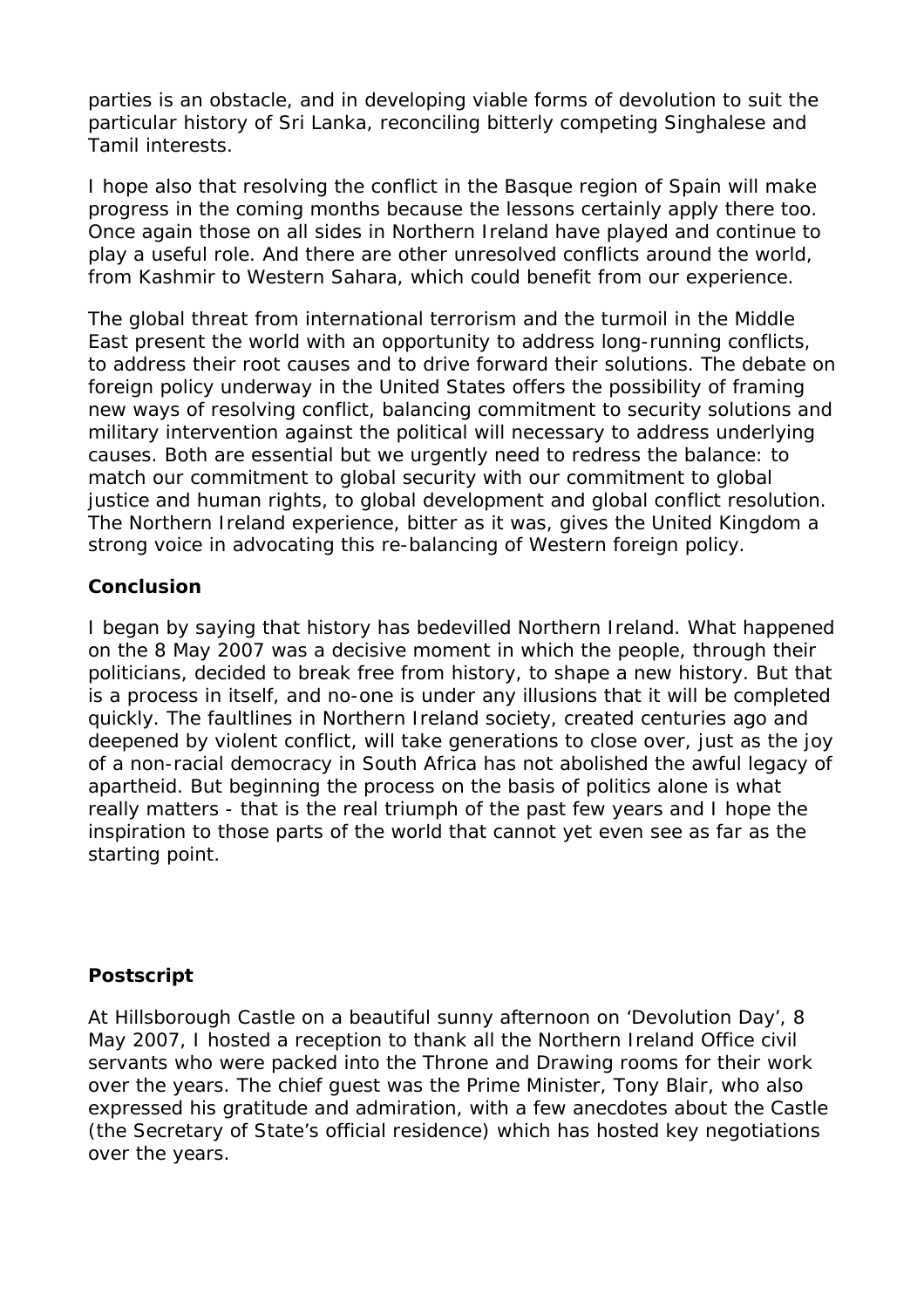parties is an obstacle, and in developing viable forms of devolution to suit the particular history of Sri Lanka, reconciling bitterly competing Singhalese and Tamil interests.

I hope also that resolving the conflict in the Basque region of Spain will make progress in the coming months because the lessons certainly apply there too. Once again those on all sides in Northern Ireland have played and continue to play a useful role. And there are other unresolved conflicts around the world, from Kashmir to Western Sahara, which could benefit from our experience.

The global threat from international terrorism and the turmoil in the Middle East present the world with an opportunity to address long-running conflicts, to address their root causes and to drive forward their solutions. The debate on foreign policy underway in the United States offers the possibility of framing new ways of resolving conflict, balancing commitment to security solutions and military intervention against the political will necessary to address underlying causes. Both are essential but we urgently need to redress the balance: to match our commitment to global security with our commitment to global justice and human rights, to global development and global conflict resolution. The Northern Ireland experience, bitter as it was, gives the United Kingdom a strong voice in advocating this re-balancing of Western foreign policy.

### **Conclusion**

I began by saying that history has bedevilled Northern Ireland. What happened on the 8 May 2007 was a decisive moment in which the people, through their politicians, decided to break free from history, to shape a new history. But that is a process in itself, and no-one is under any illusions that it will be completed quickly. The faultlines in Northern Ireland society, created centuries ago and deepened by violent conflict, will take generations to close over, just as the joy of a non-racial democracy in South Africa has not abolished the awful legacy of apartheid. But beginning the process on the basis of politics alone is what really matters - that is the real triumph of the past few years and I hope the inspiration to those parts of the world that cannot yet even see as far as the starting point.

#### **Postscript**

At Hillsborough Castle on a beautiful sunny afternoon on 'Devolution Day', 8 May 2007, I hosted a reception to thank all the Northern Ireland Office civil servants who were packed into the Throne and Drawing rooms for their work over the years. The chief guest was the Prime Minister, Tony Blair, who also expressed his gratitude and admiration, with a few anecdotes about the Castle (the Secretary of State's official residence) which has hosted key negotiations over the years.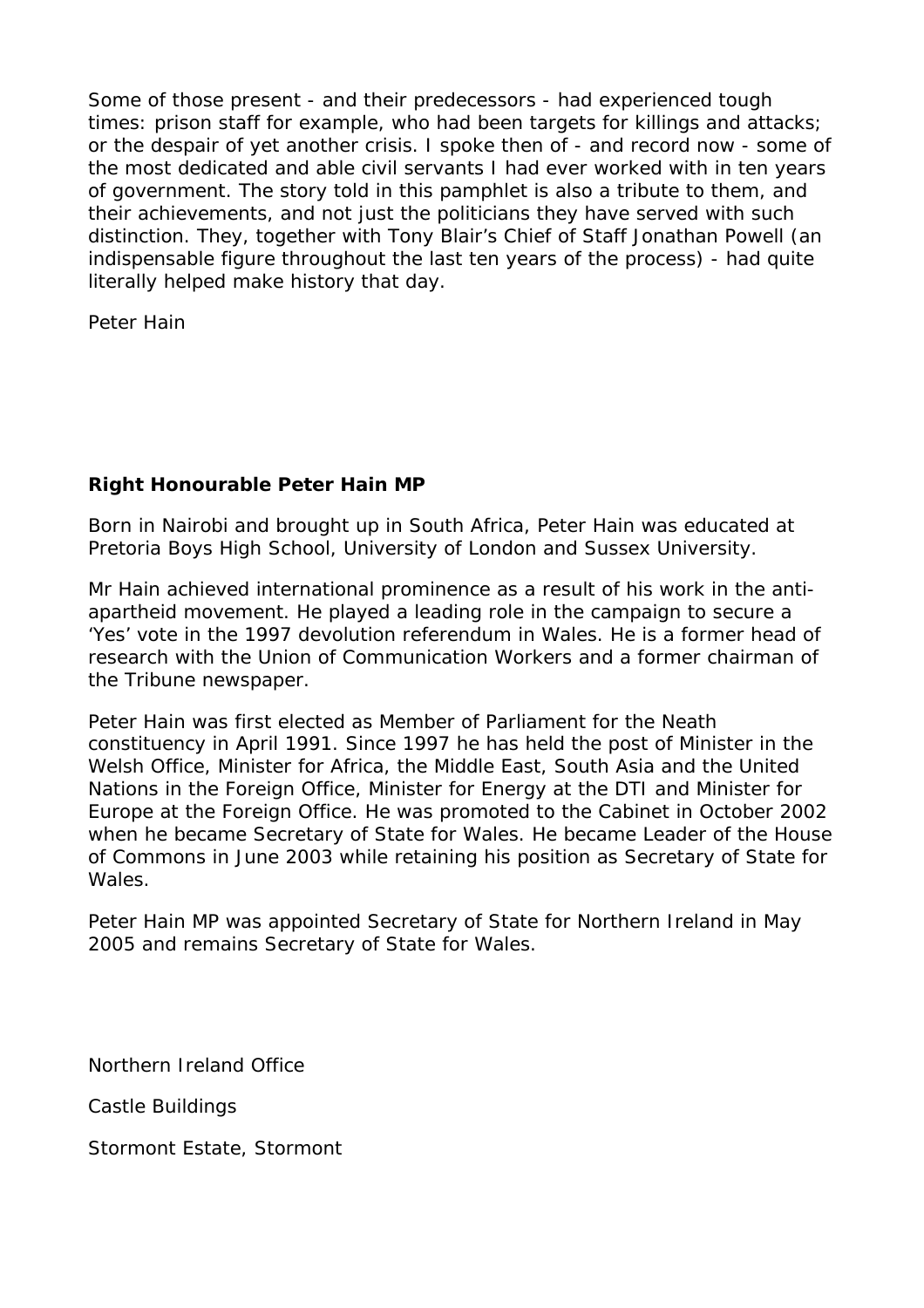Some of those present - and their predecessors - had experienced tough times: prison staff for example, who had been targets for killings and attacks; or the despair of yet another crisis. I spoke then of - and record now - some of the most dedicated and able civil servants I had ever worked with in ten years of government. The story told in this pamphlet is also a tribute to them, and their achievements, and not just the politicians they have served with such distinction. They, together with Tony Blair's Chief of Staff Jonathan Powell (an indispensable figure throughout the last ten years of the process) - had quite literally helped make history that day.

Peter Hain

# **Right Honourable Peter Hain MP**

Born in Nairobi and brought up in South Africa, Peter Hain was educated at Pretoria Boys High School, University of London and Sussex University.

Mr Hain achieved international prominence as a result of his work in the antiapartheid movement. He played a leading role in the campaign to secure a 'Yes' vote in the 1997 devolution referendum in Wales. He is a former head of research with the Union of Communication Workers and a former chairman of the Tribune newspaper.

Peter Hain was first elected as Member of Parliament for the Neath constituency in April 1991. Since 1997 he has held the post of Minister in the Welsh Office, Minister for Africa, the Middle East, South Asia and the United Nations in the Foreign Office, Minister for Energy at the DTI and Minister for Europe at the Foreign Office. He was promoted to the Cabinet in October 2002 when he became Secretary of State for Wales. He became Leader of the House of Commons in June 2003 while retaining his position as Secretary of State for Wales.

Peter Hain MP was appointed Secretary of State for Northern Ireland in May 2005 and remains Secretary of State for Wales.

Northern Ireland Office

Castle Buildings

Stormont Estate, Stormont